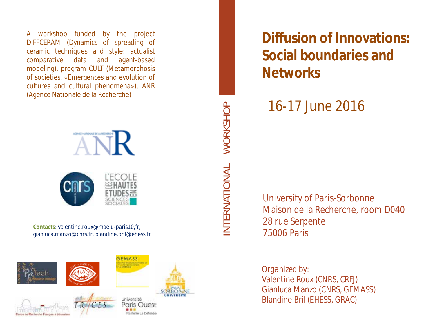A workshop funded by the project DIFFCERAM (Dynamics of spreading of ceramic techniques and style : actualist comparative data and agent-based modeling) , program CULT (Metamorphosis of societies, «Emergences and evolution of cultures and cultural phenomena»), ANR (Agence Nationale de la Recherche)



**Contacts**: valentine.roux@mae.u -paris10,fr, gianluca.manzo@cnrs.fr, blandine.bril@ehess.fr



WORKSHOP INTERNATIONAL WORKSHOPNTERNATIONAL

**Diffusion of Innovations: Social boundaries and Networks**

16 -17 June 2016

University of Paris -Sorbonne Maison de la Recherche, room D040 28 rue Serpente 75006 Paris

*Organized by* : Valentine Roux (CNRS, CRFJ) Gianluca Manzo (CNRS, GEMASS) Blandine Bril (EHESS, GRAC)